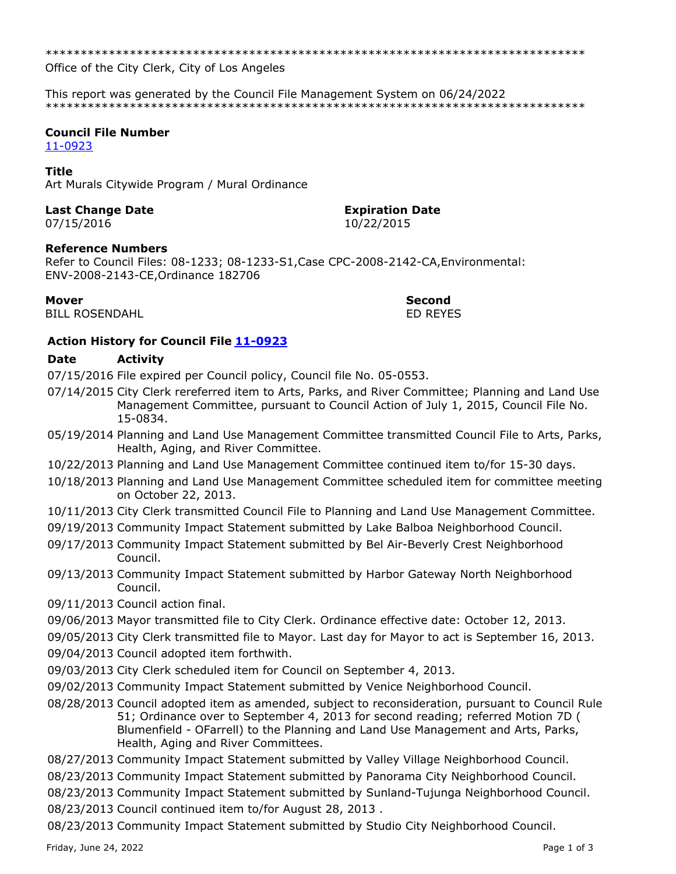\*\*\*\*\*\*\*\*\*\*\*\*\*\*\*\*\*\*\*\*\*\*\*\*\*\*\*\*\*\*\*\*\*\*\*\*\*\*\*\*\*\*\*\*\*\*\*\*\*\*\*\*\*\*\*\*\*\*\*\*\*\*\*\*\*\*\*\*\*\*\*\*\*\*\*\*\*

Office of the City Clerk, City of Los Angeles

This report was generated by the Council File Management System on 06/24/2022 \*\*\*\*\*\*\*\*\*\*\*\*\*\*\*\*\*\*\*\*\*\*\*\*\*\*\*\*\*\*\*\*\*\*\*\*\*\*\*\*\*\*\*\*\*\*\*\*\*\*\*\*\*\*\*\*\*\*\*\*\*\*\*\*\*\*\*\*\*\*\*\*\*\*\*\*\*

# **Council File Number**

[11-0923](https://cityclerk.lacity.org/lacityclerkconnect/index.cfm?fa=ccfi.viewrecord&cfnumber=11-0923)

### **Title**

Art Murals Citywide Program / Mural Ordinance

## **Last Change Date Expiration Date**

07/15/2016 10/22/2015

**Reference Numbers**

Refer to Council Files: 08-1233; 08-1233-S1,Case CPC-2008-2142-CA,Environmental: ENV-2008-2143-CE,Ordinance 182706

BILL ROSENDAHL ED REYES

**Mover Second**

## **Action History for Council File [11-0923](https://cityclerk.lacity.org/lacityclerkconnect/index.cfm?fa=ccfi.viewrecord&cfnumber=11-0923)**

# **Date Activity**

07/15/2016 File expired per Council policy, Council file No. 05-0553.

- 07/14/2015 City Clerk rereferred item to Arts, Parks, and River Committee; Planning and Land Use Management Committee, pursuant to Council Action of July 1, 2015, Council File No. 15-0834.
- 05/19/2014 Planning and Land Use Management Committee transmitted Council File to Arts, Parks, Health, Aging, and River Committee.
- 10/22/2013 Planning and Land Use Management Committee continued item to/for 15-30 days.
- 10/18/2013 Planning and Land Use Management Committee scheduled item for committee meeting on October 22, 2013.
- 10/11/2013 City Clerk transmitted Council File to Planning and Land Use Management Committee.
- 09/19/2013 Community Impact Statement submitted by Lake Balboa Neighborhood Council.
- 09/17/2013 Community Impact Statement submitted by Bel Air-Beverly Crest Neighborhood Council.
- 09/13/2013 Community Impact Statement submitted by Harbor Gateway North Neighborhood Council.
- 09/11/2013 Council action final.
- 09/06/2013 Mayor transmitted file to City Clerk. Ordinance effective date: October 12, 2013.
- 09/05/2013 City Clerk transmitted file to Mayor. Last day for Mayor to act is September 16, 2013.
- 09/04/2013 Council adopted item forthwith.
- 09/03/2013 City Clerk scheduled item for Council on September 4, 2013.
- 09/02/2013 Community Impact Statement submitted by Venice Neighborhood Council.
- 08/28/2013 Council adopted item as amended, subject to reconsideration, pursuant to Council Rule 51; Ordinance over to September 4, 2013 for second reading; referred Motion 7D ( Blumenfield - OFarrell) to the Planning and Land Use Management and Arts, Parks, Health, Aging and River Committees.
- 08/27/2013 Community Impact Statement submitted by Valley Village Neighborhood Council.
- 08/23/2013 Community Impact Statement submitted by Panorama City Neighborhood Council.
- 08/23/2013 Community Impact Statement submitted by Sunland-Tujunga Neighborhood Council.
- 08/23/2013 Council continued item to/for August 28, 2013 .
- 08/23/2013 Community Impact Statement submitted by Studio City Neighborhood Council.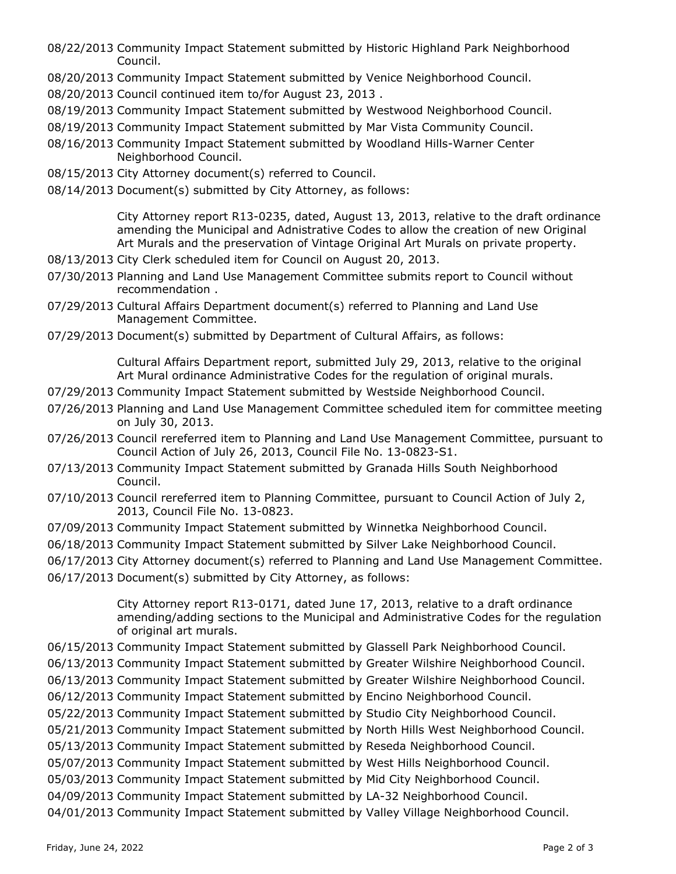- 08/22/2013 Community Impact Statement submitted by Historic Highland Park Neighborhood Council.
- 08/20/2013 Community Impact Statement submitted by Venice Neighborhood Council.
- 08/20/2013 Council continued item to/for August 23, 2013 .
- 08/19/2013 Community Impact Statement submitted by Westwood Neighborhood Council.
- 08/19/2013 Community Impact Statement submitted by Mar Vista Community Council.
- 08/16/2013 Community Impact Statement submitted by Woodland Hills-Warner Center Neighborhood Council.
- 08/15/2013 City Attorney document(s) referred to Council.
- 08/14/2013 Document(s) submitted by City Attorney, as follows:

City Attorney report R13-0235, dated, August 13, 2013, relative to the draft ordinance amending the Municipal and Adnistrative Codes to allow the creation of new Original Art Murals and the preservation of Vintage Original Art Murals on private property.

- 08/13/2013 City Clerk scheduled item for Council on August 20, 2013.
- 07/30/2013 Planning and Land Use Management Committee submits report to Council without recommendation .
- 07/29/2013 Cultural Affairs Department document(s) referred to Planning and Land Use Management Committee.
- 07/29/2013 Document(s) submitted by Department of Cultural Affairs, as follows:

Cultural Affairs Department report, submitted July 29, 2013, relative to the original Art Mural ordinance Administrative Codes for the regulation of original murals.

- 07/29/2013 Community Impact Statement submitted by Westside Neighborhood Council.
- 07/26/2013 Planning and Land Use Management Committee scheduled item for committee meeting on July 30, 2013.
- 07/26/2013 Council rereferred item to Planning and Land Use Management Committee, pursuant to Council Action of July 26, 2013, Council File No. 13-0823-S1.
- 07/13/2013 Community Impact Statement submitted by Granada Hills South Neighborhood Council.
- 07/10/2013 Council rereferred item to Planning Committee, pursuant to Council Action of July 2, 2013, Council File No. 13-0823.
- 07/09/2013 Community Impact Statement submitted by Winnetka Neighborhood Council.
- 06/18/2013 Community Impact Statement submitted by Silver Lake Neighborhood Council.
- 06/17/2013 City Attorney document(s) referred to Planning and Land Use Management Committee.
- 06/17/2013 Document(s) submitted by City Attorney, as follows:

City Attorney report R13-0171, dated June 17, 2013, relative to a draft ordinance amending/adding sections to the Municipal and Administrative Codes for the regulation of original art murals.

- 06/15/2013 Community Impact Statement submitted by Glassell Park Neighborhood Council.
- 06/13/2013 Community Impact Statement submitted by Greater Wilshire Neighborhood Council.
- 06/13/2013 Community Impact Statement submitted by Greater Wilshire Neighborhood Council.
- 06/12/2013 Community Impact Statement submitted by Encino Neighborhood Council.
- 05/22/2013 Community Impact Statement submitted by Studio City Neighborhood Council.
- 05/21/2013 Community Impact Statement submitted by North Hills West Neighborhood Council.
- 05/13/2013 Community Impact Statement submitted by Reseda Neighborhood Council.
- 05/07/2013 Community Impact Statement submitted by West Hills Neighborhood Council.
- 05/03/2013 Community Impact Statement submitted by Mid City Neighborhood Council.
- 04/09/2013 Community Impact Statement submitted by LA-32 Neighborhood Council.
- 04/01/2013 Community Impact Statement submitted by Valley Village Neighborhood Council.